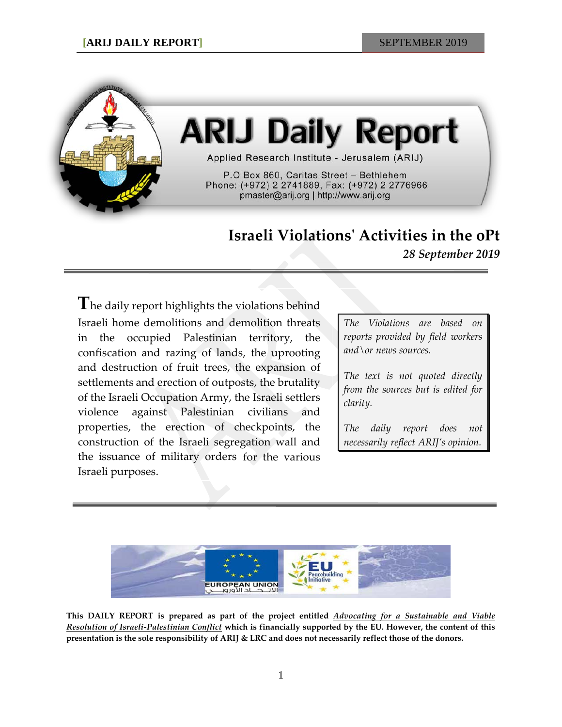

# **ARIJ Daily Report**

Applied Research Institute - Jerusalem (ARIJ)

P.O Box 860, Caritas Street - Bethlehem Phone: (+972) 2 2741889, Fax: (+972) 2 2776966 pmaster@arij.org | http://www.arij.org

# **Israeli Violations' Activities in the oPt**

*28 September 2019*

**T**he daily report highlights the violations behind Israeli home demolitions and demolition threats in the occupied Palestinian territory, the confiscation and razing of lands, the uprooting and destruction of fruit trees, the expansion of settlements and erection of outposts, the brutality of the Israeli Occupation Army, the Israeli settlers violence against Palestinian civilians and properties, the erection of checkpoints, the construction of the Israeli segregation wall and the issuance of military orders for the various Israeli purposes.

*The Violations are based on reports provided by field workers and\or news sources.*

*The text is not quoted directly from the sources but is edited for clarity.*

*The daily report does not necessarily reflect ARIJ's opinion.*



**This DAILY REPORT is prepared as part of the project entitled** *Advocating for a Sustainable and Viable Resolution of Israeli-Palestinian Conflict* **which is financially supported by the EU. However, the content of this presentation is the sole responsibility of ARIJ & LRC and does not necessarily reflect those of the donors.**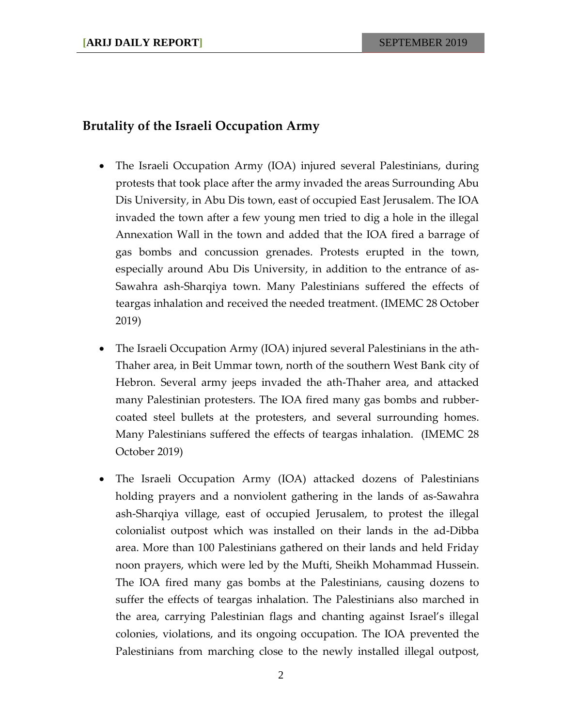#### **Brutality of the Israeli Occupation Army**

- The Israeli Occupation Army (IOA) injured several Palestinians, during protests that took place after the army invaded the areas Surrounding Abu Dis University, in Abu Dis town, east of occupied East Jerusalem. The IOA invaded the town after a few young men tried to dig a hole in the illegal Annexation Wall in the town and added that the IOA fired a barrage of gas bombs and concussion grenades. Protests erupted in the town, especially around Abu Dis University, in addition to the entrance of as-Sawahra ash-Sharqiya town. Many Palestinians suffered the effects of teargas inhalation and received the needed treatment. (IMEMC 28 October 2019)
- The Israeli Occupation Army (IOA) injured several Palestinians in the ath-Thaher area, in Beit Ummar town, north of the southern West Bank city of Hebron. Several army jeeps invaded the ath-Thaher area, and attacked many Palestinian protesters. The IOA fired many gas bombs and rubbercoated steel bullets at the protesters, and several surrounding homes. Many Palestinians suffered the effects of teargas inhalation. (IMEMC 28 October 2019)
- The Israeli Occupation Army (IOA) attacked dozens of Palestinians holding prayers and a nonviolent gathering in the lands of as-Sawahra ash-Sharqiya village, east of occupied Jerusalem, to protest the illegal colonialist outpost which was installed on their lands in the ad-Dibba area. More than 100 Palestinians gathered on their lands and held Friday noon prayers, which were led by the Mufti, Sheikh Mohammad Hussein. The IOA fired many gas bombs at the Palestinians, causing dozens to suffer the effects of teargas inhalation. The Palestinians also marched in the area, carrying Palestinian flags and chanting against Israel's illegal colonies, violations, and its ongoing occupation. The IOA prevented the Palestinians from marching close to the newly installed illegal outpost,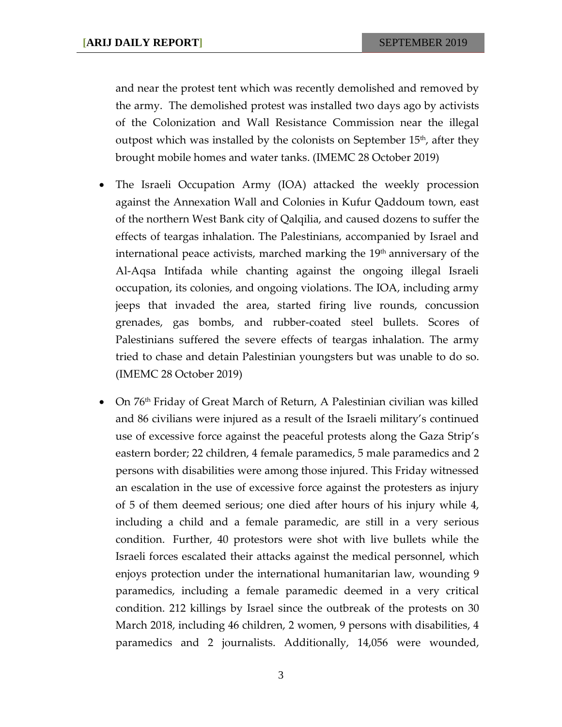and near the protest tent which was recently demolished and removed by the army. The demolished protest was installed two days ago by activists of the Colonization and Wall Resistance Commission near the illegal outpost which was installed by the colonists on September  $15<sup>th</sup>$ , after they brought mobile homes and water tanks. (IMEMC 28 October 2019)

- The Israeli Occupation Army (IOA) attacked the weekly procession against the Annexation Wall and Colonies in Kufur Qaddoum town, east of the northern West Bank city of Qalqilia, and caused dozens to suffer the effects of teargas inhalation. The Palestinians, accompanied by Israel and international peace activists, marched marking the  $19<sup>th</sup>$  anniversary of the Al-Aqsa Intifada while chanting against the ongoing illegal Israeli occupation, its colonies, and ongoing violations. The IOA, including army jeeps that invaded the area, started firing live rounds, concussion grenades, gas bombs, and rubber-coated steel bullets. Scores of Palestinians suffered the severe effects of teargas inhalation. The army tried to chase and detain Palestinian youngsters but was unable to do so. (IMEMC 28 October 2019)
- On  $76<sup>th</sup>$  Friday of Great March of Return, A Palestinian civilian was killed and 86 civilians were injured as a result of the Israeli military's continued use of excessive force against the peaceful protests along the Gaza Strip's eastern border; 22 children, 4 female paramedics, 5 male paramedics and 2 persons with disabilities were among those injured. This Friday witnessed an escalation in the use of excessive force against the protesters as injury of 5 of them deemed serious; one died after hours of his injury while 4, including a child and a female paramedic, are still in a very serious condition. Further, 40 protestors were shot with live bullets while the Israeli forces escalated their attacks against the medical personnel, which enjoys protection under the international humanitarian law, wounding 9 paramedics, including a female paramedic deemed in a very critical condition. 212 killings by Israel since the outbreak of the protests on 30 March 2018, including 46 children, 2 women, 9 persons with disabilities, 4 paramedics and 2 journalists. Additionally, 14,056 were wounded,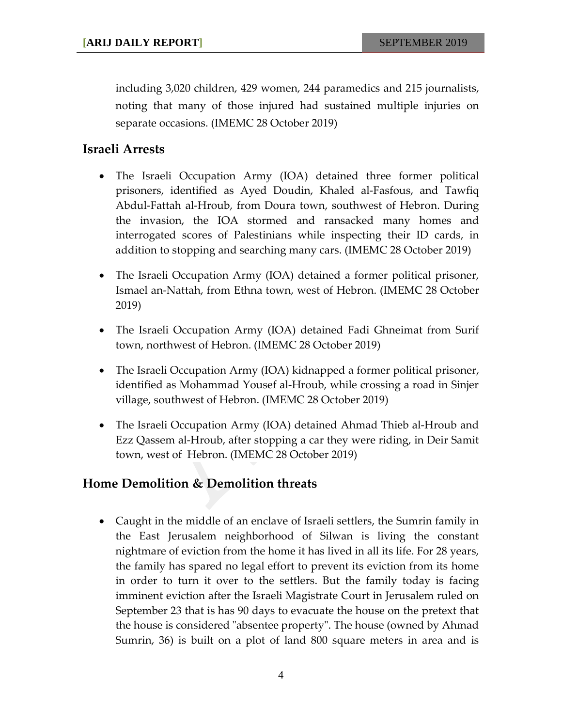including 3,020 children, 429 women, 244 paramedics and 215 journalists, noting that many of those injured had sustained multiple injuries on separate occasions. (IMEMC 28 October 2019)

### **Israeli Arrests**

- The Israeli Occupation Army (IOA) detained three former political prisoners, identified as Ayed Doudin, Khaled al-Fasfous, and Tawfiq Abdul-Fattah al-Hroub, from Doura town, southwest of Hebron. During the invasion, the IOA stormed and ransacked many homes and interrogated scores of Palestinians while inspecting their ID cards, in addition to stopping and searching many cars. (IMEMC 28 October 2019)
- The Israeli Occupation Army (IOA) detained a former political prisoner, Ismael an-Nattah, from Ethna town, west of Hebron. (IMEMC 28 October 2019)
- The Israeli Occupation Army (IOA) detained Fadi Ghneimat from Surif town, northwest of Hebron. (IMEMC 28 October 2019)
- The Israeli Occupation Army (IOA) kidnapped a former political prisoner, identified as Mohammad Yousef al-Hroub, while crossing a road in Sinjer village, southwest of Hebron. (IMEMC 28 October 2019)
- The Israeli Occupation Army (IOA) detained Ahmad Thieb al-Hroub and Ezz Qassem al-Hroub, after stopping a car they were riding, in Deir Samit town, west of Hebron. (IMEMC 28 October 2019)

## **Home Demolition & Demolition threats**

• Caught in the middle of an enclave of Israeli settlers, the Sumrin family in the East Jerusalem neighborhood of Silwan is living the constant nightmare of eviction from the home it has lived in all its life. For 28 years, the family has spared no legal effort to prevent its eviction from its home in order to turn it over to the settlers. But the family today is facing imminent eviction after the Israeli Magistrate Court in Jerusalem ruled on September 23 that is has 90 days to evacuate the house on the pretext that the house is considered "absentee property". The house (owned by Ahmad Sumrin, 36) is built on a plot of land 800 square meters in area and is